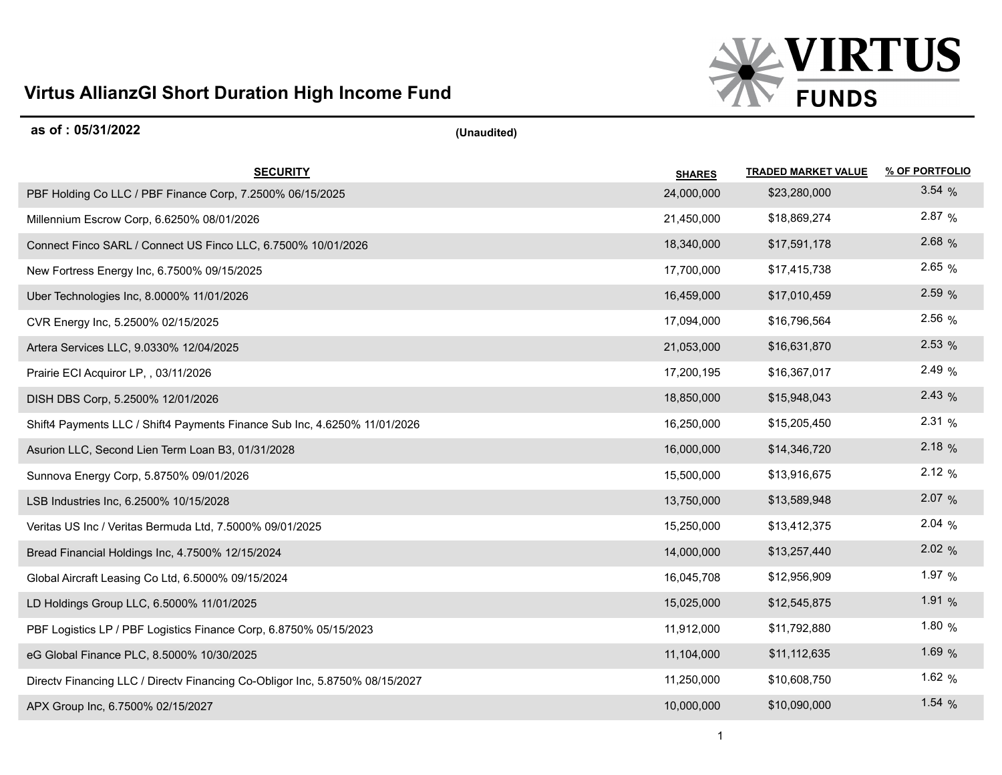## **Virtus AllianzGI Short Duration High Income Fund**



| as of: 05/31/2022                                                            | (Unaudited)   |                            |                |
|------------------------------------------------------------------------------|---------------|----------------------------|----------------|
| <b>SECURITY</b>                                                              | <b>SHARES</b> | <b>TRADED MARKET VALUE</b> | % OF PORTFOLIO |
| PBF Holding Co LLC / PBF Finance Corp, 7.2500% 06/15/2025                    | 24,000,000    | \$23,280,000               | 3.54%          |
| Millennium Escrow Corp, 6.6250% 08/01/2026                                   | 21,450,000    | \$18,869,274               | 2.87%          |
| Connect Finco SARL / Connect US Finco LLC, 6.7500% 10/01/2026                | 18,340,000    | \$17,591,178               | 2.68 %         |
| New Fortress Energy Inc, 6.7500% 09/15/2025                                  | 17,700,000    | \$17,415,738               | 2.65 %         |
| Uber Technologies Inc, 8.0000% 11/01/2026                                    | 16,459,000    | \$17,010,459               | 2.59%          |
| CVR Energy Inc, 5.2500% 02/15/2025                                           | 17,094,000    | \$16,796,564               | 2.56 %         |
| Artera Services LLC, 9.0330% 12/04/2025                                      | 21,053,000    | \$16,631,870               | 2.53%          |
| Prairie ECI Acquiror LP, , 03/11/2026                                        | 17,200,195    | \$16,367,017               | 2.49 %         |
| DISH DBS Corp, 5.2500% 12/01/2026                                            | 18,850,000    | \$15,948,043               | 2.43%          |
| Shift4 Payments LLC / Shift4 Payments Finance Sub Inc, 4.6250% 11/01/2026    | 16,250,000    | \$15,205,450               | 2.31%          |
| Asurion LLC, Second Lien Term Loan B3, 01/31/2028                            | 16,000,000    | \$14,346,720               | 2.18%          |
| Sunnova Energy Corp, 5.8750% 09/01/2026                                      | 15,500,000    | \$13,916,675               | 2.12%          |
| LSB Industries Inc, 6.2500% 10/15/2028                                       | 13,750,000    | \$13,589,948               | 2.07%          |
| Veritas US Inc / Veritas Bermuda Ltd, 7.5000% 09/01/2025                     | 15,250,000    | \$13,412,375               | 2.04%          |
| Bread Financial Holdings Inc, 4.7500% 12/15/2024                             | 14,000,000    | \$13,257,440               | 2.02%          |
| Global Aircraft Leasing Co Ltd, 6.5000% 09/15/2024                           | 16,045,708    | \$12,956,909               | 1.97 $%$       |
| LD Holdings Group LLC, 6.5000% 11/01/2025                                    | 15,025,000    | \$12,545,875               | 1.91 $%$       |
| PBF Logistics LP / PBF Logistics Finance Corp, 6.8750% 05/15/2023            | 11,912,000    | \$11,792,880               | 1.80 $%$       |
| eG Global Finance PLC, 8.5000% 10/30/2025                                    | 11,104,000    | \$11,112,635               | 1.69 %         |
| Directv Financing LLC / Directv Financing Co-Obligor Inc, 5.8750% 08/15/2027 | 11,250,000    | \$10,608,750               | 1.62 $%$       |
| APX Group Inc, 6.7500% 02/15/2027                                            | 10,000,000    | \$10,090,000               | 1.54 $%$       |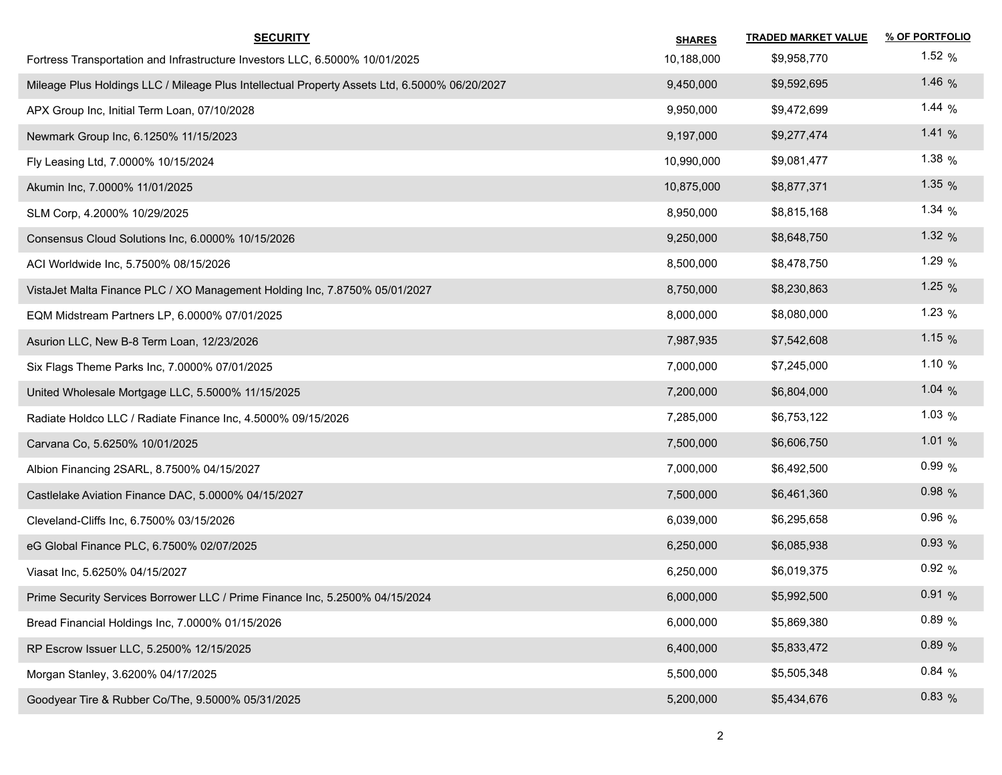| <b>SECURITY</b>                                                                               | <b>SHARES</b> | <b>TRADED MARKET VALUE</b> | % OF PORTFOLIO |
|-----------------------------------------------------------------------------------------------|---------------|----------------------------|----------------|
| Fortress Transportation and Infrastructure Investors LLC, 6.5000% 10/01/2025                  | 10,188,000    | \$9,958,770                | 1.52 $%$       |
| Mileage Plus Holdings LLC / Mileage Plus Intellectual Property Assets Ltd, 6.5000% 06/20/2027 | 9,450,000     | \$9,592,695                | 1.46 $%$       |
| APX Group Inc, Initial Term Loan, 07/10/2028                                                  | 9,950,000     | \$9,472,699                | 1.44 $%$       |
| Newmark Group Inc, 6.1250% 11/15/2023                                                         | 9,197,000     | \$9,277,474                | 1.41 $%$       |
| Fly Leasing Ltd, 7.0000% 10/15/2024                                                           | 10,990,000    | \$9,081,477                | 1.38 $%$       |
| Akumin Inc, 7.0000% 11/01/2025                                                                | 10,875,000    | \$8,877,371                | 1.35 $%$       |
| SLM Corp, 4.2000% 10/29/2025                                                                  | 8,950,000     | \$8,815,168                | 1.34 $%$       |
| Consensus Cloud Solutions Inc, 6.0000% 10/15/2026                                             | 9,250,000     | \$8,648,750                | 1.32 $%$       |
| ACI Worldwide Inc, 5.7500% 08/15/2026                                                         | 8,500,000     | \$8,478,750                | 1.29 $%$       |
| VistaJet Malta Finance PLC / XO Management Holding Inc, 7.8750% 05/01/2027                    | 8,750,000     | \$8,230,863                | 1.25 $%$       |
| EQM Midstream Partners LP, 6.0000% 07/01/2025                                                 | 8,000,000     | \$8,080,000                | 1.23 $%$       |
| Asurion LLC, New B-8 Term Loan, 12/23/2026                                                    | 7,987,935     | \$7,542,608                | 1.15 $%$       |
| Six Flags Theme Parks Inc, 7.0000% 07/01/2025                                                 | 7,000,000     | \$7,245,000                | 1.10 $%$       |
| United Wholesale Mortgage LLC, 5.5000% 11/15/2025                                             | 7,200,000     | \$6,804,000                | 1.04 $%$       |
| Radiate Holdco LLC / Radiate Finance Inc, 4.5000% 09/15/2026                                  | 7,285,000     | \$6,753,122                | 1.03 $%$       |
| Carvana Co, 5.6250% 10/01/2025                                                                | 7,500,000     | \$6,606,750                | 1.01 $%$       |
| Albion Financing 2SARL, 8.7500% 04/15/2027                                                    | 7,000,000     | \$6,492,500                | 0.99%          |
| Castlelake Aviation Finance DAC, 5.0000% 04/15/2027                                           | 7,500,000     | \$6,461,360                | 0.98%          |
| Cleveland-Cliffs Inc, 6.7500% 03/15/2026                                                      | 6,039,000     | \$6,295,658                | $0.96\%$       |
| eG Global Finance PLC, 6.7500% 02/07/2025                                                     | 6,250,000     | \$6,085,938                | 0.93%          |
| Viasat Inc, 5.6250% 04/15/2027                                                                | 6,250,000     | \$6,019,375                | 0.92%          |
| Prime Security Services Borrower LLC / Prime Finance Inc, 5.2500% 04/15/2024                  | 6,000,000     | \$5,992,500                | 0.91%          |
| Bread Financial Holdings Inc, 7.0000% 01/15/2026                                              | 6,000,000     | \$5,869,380                | $0.89\%$       |
| RP Escrow Issuer LLC, 5.2500% 12/15/2025                                                      | 6,400,000     | \$5,833,472                | 0.89%          |
| Morgan Stanley, 3.6200% 04/17/2025                                                            | 5,500,000     | \$5,505,348                | 0.84%          |
| Goodyear Tire & Rubber Co/The, 9.5000% 05/31/2025                                             | 5,200,000     | \$5,434,676                | 0.83%          |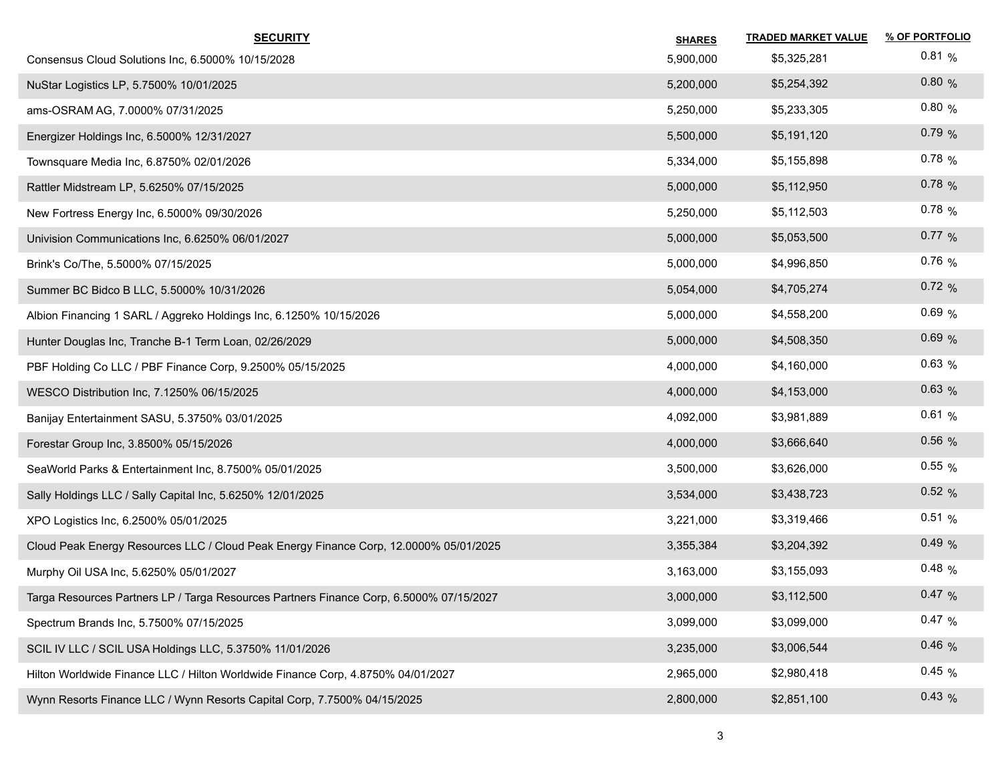| <b>SECURITY</b>                                                                         | <b>SHARES</b> | <b>TRADED MARKET VALUE</b> | % OF PORTFOLIO |
|-----------------------------------------------------------------------------------------|---------------|----------------------------|----------------|
| Consensus Cloud Solutions Inc, 6.5000% 10/15/2028                                       | 5,900,000     | \$5,325,281                | 0.81%          |
| NuStar Logistics LP, 5.7500% 10/01/2025                                                 | 5,200,000     | \$5,254,392                | 0.80%          |
| ams-OSRAM AG, 7.0000% 07/31/2025                                                        | 5,250,000     | \$5,233,305                | 0.80%          |
| Energizer Holdings Inc, 6.5000% 12/31/2027                                              | 5,500,000     | \$5,191,120                | 0.79%          |
| Townsquare Media Inc, 6.8750% 02/01/2026                                                | 5,334,000     | \$5,155,898                | $0.78\%$       |
| Rattler Midstream LP, 5.6250% 07/15/2025                                                | 5,000,000     | \$5,112,950                | 0.78%          |
| New Fortress Energy Inc, 6.5000% 09/30/2026                                             | 5,250,000     | \$5,112,503                | $0.78\%$       |
| Univision Communications Inc, 6.6250% 06/01/2027                                        | 5,000,000     | \$5,053,500                | $0.77\%$       |
| Brink's Co/The, 5.5000% 07/15/2025                                                      | 5,000,000     | \$4,996,850                | 0.76%          |
| Summer BC Bidco B LLC, 5.5000% 10/31/2026                                               | 5,054,000     | \$4,705,274                | 0.72%          |
| Albion Financing 1 SARL / Aggreko Holdings Inc, 6.1250% 10/15/2026                      | 5,000,000     | \$4,558,200                | 0.69%          |
| Hunter Douglas Inc, Tranche B-1 Term Loan, 02/26/2029                                   | 5,000,000     | \$4,508,350                | 0.69%          |
| PBF Holding Co LLC / PBF Finance Corp, 9.2500% 05/15/2025                               | 4,000,000     | \$4,160,000                | 0.63%          |
| WESCO Distribution Inc, 7.1250% 06/15/2025                                              | 4,000,000     | \$4,153,000                | 0.63%          |
| Banijay Entertainment SASU, 5.3750% 03/01/2025                                          | 4,092,000     | \$3,981,889                | 0.61%          |
| Forestar Group Inc, 3.8500% 05/15/2026                                                  | 4,000,000     | \$3,666,640                | 0.56%          |
| SeaWorld Parks & Entertainment Inc, 8.7500% 05/01/2025                                  | 3,500,000     | \$3,626,000                | $0.55\%$       |
| Sally Holdings LLC / Sally Capital Inc, 5.6250% 12/01/2025                              | 3,534,000     | \$3,438,723                | 0.52%          |
| XPO Logistics Inc, 6.2500% 05/01/2025                                                   | 3,221,000     | \$3,319,466                | 0.51%          |
| Cloud Peak Energy Resources LLC / Cloud Peak Energy Finance Corp, 12.0000% 05/01/2025   | 3,355,384     | \$3,204,392                | 0.49%          |
| Murphy Oil USA Inc, 5.6250% 05/01/2027                                                  | 3,163,000     | \$3,155,093                | 0.48%          |
| Targa Resources Partners LP / Targa Resources Partners Finance Corp, 6.5000% 07/15/2027 | 3,000,000     | \$3,112,500                | 0.47%          |
| Spectrum Brands Inc, 5.7500% 07/15/2025                                                 | 3,099,000     | \$3,099,000                | 0.47%          |
| SCIL IV LLC / SCIL USA Holdings LLC, 5.3750% 11/01/2026                                 | 3,235,000     | \$3,006,544                | 0.46%          |
| Hilton Worldwide Finance LLC / Hilton Worldwide Finance Corp, 4.8750% 04/01/2027        | 2,965,000     | \$2,980,418                | 0.45%          |
| Wynn Resorts Finance LLC / Wynn Resorts Capital Corp, 7.7500% 04/15/2025                | 2,800,000     | \$2,851,100                | 0.43%          |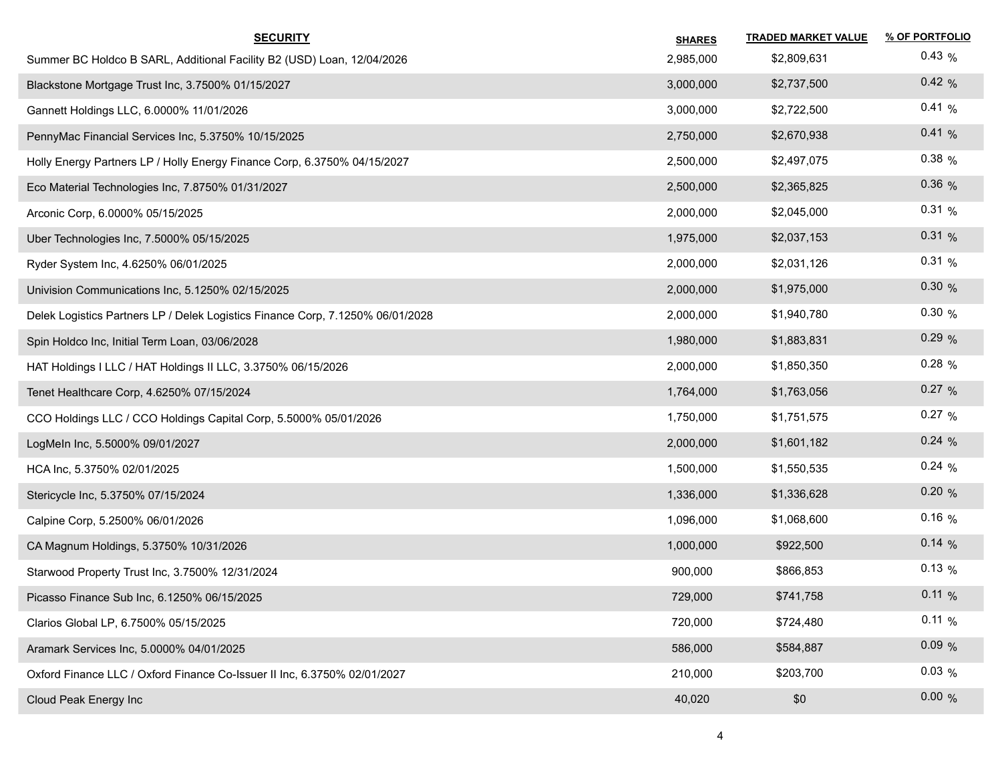| <b>SECURITY</b>                                                                | <b>SHARES</b> | <b>TRADED MARKET VALUE</b> | % OF PORTFOLIO |
|--------------------------------------------------------------------------------|---------------|----------------------------|----------------|
| Summer BC Holdco B SARL, Additional Facility B2 (USD) Loan, 12/04/2026         | 2,985,000     | \$2,809,631                | 0.43%          |
| Blackstone Mortgage Trust Inc, 3.7500% 01/15/2027                              | 3,000,000     | \$2,737,500                | 0.42%          |
| Gannett Holdings LLC, 6.0000% 11/01/2026                                       | 3,000,000     | \$2,722,500                | 0.41%          |
| PennyMac Financial Services Inc, 5.3750% 10/15/2025                            | 2,750,000     | \$2,670,938                | 0.41%          |
| Holly Energy Partners LP / Holly Energy Finance Corp, 6.3750% 04/15/2027       | 2,500,000     | \$2,497,075                | $0.38\%$       |
| Eco Material Technologies Inc, 7.8750% 01/31/2027                              | 2,500,000     | \$2,365,825                | 0.36%          |
| Arconic Corp, 6.0000% 05/15/2025                                               | 2,000,000     | \$2,045,000                | 0.31%          |
| Uber Technologies Inc, 7.5000% 05/15/2025                                      | 1,975,000     | \$2,037,153                | 0.31%          |
| Ryder System Inc, 4.6250% 06/01/2025                                           | 2,000,000     | \$2,031,126                | 0.31%          |
| Univision Communications Inc, 5.1250% 02/15/2025                               | 2,000,000     | \$1,975,000                | 0.30%          |
| Delek Logistics Partners LP / Delek Logistics Finance Corp, 7.1250% 06/01/2028 | 2,000,000     | \$1,940,780                | 0.30%          |
| Spin Holdco Inc, Initial Term Loan, 03/06/2028                                 | 1,980,000     | \$1,883,831                | 0.29%          |
| HAT Holdings I LLC / HAT Holdings II LLC, 3.3750% 06/15/2026                   | 2,000,000     | \$1,850,350                | $0.28\%$       |
| Tenet Healthcare Corp, 4.6250% 07/15/2024                                      | 1,764,000     | \$1,763,056                | 0.27 %         |
| CCO Holdings LLC / CCO Holdings Capital Corp, 5.5000% 05/01/2026               | 1,750,000     | \$1,751,575                | 0.27 %         |
| LogMeIn Inc, 5.5000% 09/01/2027                                                | 2,000,000     | \$1,601,182                | 0.24%          |
| HCA Inc, 5.3750% 02/01/2025                                                    | 1,500,000     | \$1,550,535                | 0.24%          |
| Stericycle Inc, 5.3750% 07/15/2024                                             | 1,336,000     | \$1,336,628                | 0.20%          |
| Calpine Corp, 5.2500% 06/01/2026                                               | 1,096,000     | \$1,068,600                | 0.16%          |
| CA Magnum Holdings, 5.3750% 10/31/2026                                         | 1,000,000     | \$922,500                  | $0.14\%$       |
| Starwood Property Trust Inc, 3.7500% 12/31/2024                                | 900,000       | \$866,853                  | $0.13\%$       |
| Picasso Finance Sub Inc, 6.1250% 06/15/2025                                    | 729,000       | \$741,758                  | 0.11%          |
| Clarios Global LP, 6.7500% 05/15/2025                                          | 720,000       | \$724,480                  | 0.11%          |
| Aramark Services Inc, 5.0000% 04/01/2025                                       | 586,000       | \$584,887                  | 0.09%          |
| Oxford Finance LLC / Oxford Finance Co-Issuer II Inc, 6.3750% 02/01/2027       | 210,000       | \$203,700                  | 0.03%          |
| Cloud Peak Energy Inc                                                          | 40,020        | \$0                        | 0.00%          |